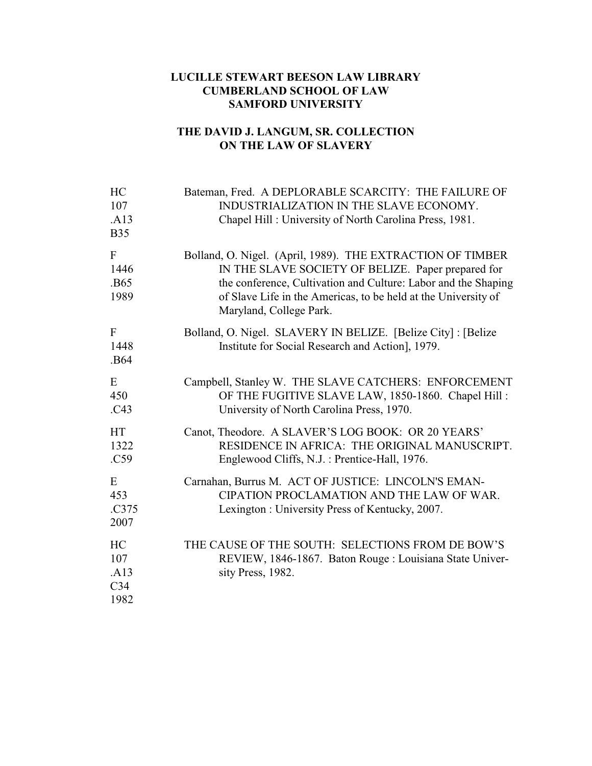## **LUCILLE STEWART BEESON LAW LIBRARY CUMBERLAND SCHOOL OF LAW SAMFORD UNIVERSITY**

## **THE DAVID J. LANGUM, SR. COLLECTION ON THE LAW OF SLAVERY**

| HC<br>107<br>.A13<br><b>B35</b>              | Bateman, Fred. A DEPLORABLE SCARCITY: THE FAILURE OF<br>INDUSTRIALIZATION IN THE SLAVE ECONOMY.<br>Chapel Hill: University of North Carolina Press, 1981.                                                                                                                       |
|----------------------------------------------|---------------------------------------------------------------------------------------------------------------------------------------------------------------------------------------------------------------------------------------------------------------------------------|
| $\mathbf{F}$<br>1446<br>.B65<br>1989         | Bolland, O. Nigel. (April, 1989). THE EXTRACTION OF TIMBER<br>IN THE SLAVE SOCIETY OF BELIZE. Paper prepared for<br>the conference, Cultivation and Culture: Labor and the Shaping<br>of Slave Life in the Americas, to be held at the University of<br>Maryland, College Park. |
| $\mathbf{F}$<br>1448<br>.B64                 | Bolland, O. Nigel. SLAVERY IN BELIZE. [Belize City]: [Belize<br>Institute for Social Research and Action], 1979.                                                                                                                                                                |
| E<br>450<br>.C43                             | Campbell, Stanley W. THE SLAVE CATCHERS: ENFORCEMENT<br>OF THE FUGITIVE SLAVE LAW, 1850-1860. Chapel Hill:<br>University of North Carolina Press, 1970.                                                                                                                         |
| <b>HT</b><br>1322<br>.C59                    | Canot, Theodore. A SLAVER'S LOG BOOK: OR 20 YEARS'<br>RESIDENCE IN AFRICA: THE ORIGINAL MANUSCRIPT.<br>Englewood Cliffs, N.J.: Prentice-Hall, 1976.                                                                                                                             |
| E<br>453<br>.C375<br>2007                    | Carnahan, Burrus M. ACT OF JUSTICE: LINCOLN'S EMAN-<br>CIPATION PROCLAMATION AND THE LAW OF WAR.<br>Lexington: University Press of Kentucky, 2007.                                                                                                                              |
| HC<br>107<br>.A13<br>C <sub>34</sub><br>1982 | THE CAUSE OF THE SOUTH: SELECTIONS FROM DE BOW'S<br>REVIEW, 1846-1867. Baton Rouge: Louisiana State Univer-<br>sity Press, 1982.                                                                                                                                                |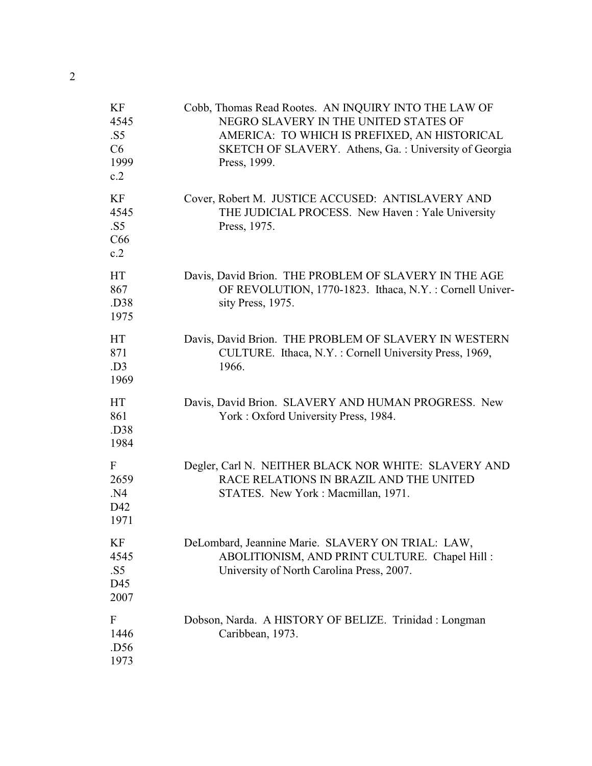| KF<br>4545<br>.S5<br>C6<br>1999<br>c.2 | Cobb, Thomas Read Rootes. AN INQUIRY INTO THE LAW OF<br>NEGRO SLAVERY IN THE UNITED STATES OF<br>AMERICA: TO WHICH IS PREFIXED, AN HISTORICAL<br>SKETCH OF SLAVERY. Athens, Ga.: University of Georgia<br>Press, 1999. |
|----------------------------------------|------------------------------------------------------------------------------------------------------------------------------------------------------------------------------------------------------------------------|
| <b>KF</b><br>4545<br>.S5<br>C66<br>c.2 | Cover, Robert M. JUSTICE ACCUSED: ANTISLAVERY AND<br>THE JUDICIAL PROCESS. New Haven: Yale University<br>Press, 1975.                                                                                                  |
| <b>HT</b><br>867<br>.D38<br>1975       | Davis, David Brion. THE PROBLEM OF SLAVERY IN THE AGE<br>OF REVOLUTION, 1770-1823. Ithaca, N.Y.: Cornell Univer-<br>sity Press, 1975.                                                                                  |
| <b>HT</b><br>871<br>.D3<br>1969        | Davis, David Brion. THE PROBLEM OF SLAVERY IN WESTERN<br>CULTURE. Ithaca, N.Y.: Cornell University Press, 1969,<br>1966.                                                                                               |
| <b>HT</b><br>861<br>.D38<br>1984       | Davis, David Brion. SLAVERY AND HUMAN PROGRESS. New<br>York: Oxford University Press, 1984.                                                                                                                            |
| F<br>2659<br>.N4<br>D42<br>1971        | Degler, Carl N. NEITHER BLACK NOR WHITE: SLAVERY AND<br>RACE RELATIONS IN BRAZIL AND THE UNITED<br>STATES. New York: Macmillan, 1971.                                                                                  |
| ΚF<br>4545<br>.S5<br>D45<br>2007       | DeLombard, Jeannine Marie. SLAVERY ON TRIAL: LAW,<br>ABOLITIONISM, AND PRINT CULTURE. Chapel Hill:<br>University of North Carolina Press, 2007.                                                                        |
| F<br>1446<br>.D56<br>1973              | Dobson, Narda. A HISTORY OF BELIZE. Trinidad : Longman<br>Caribbean, 1973.                                                                                                                                             |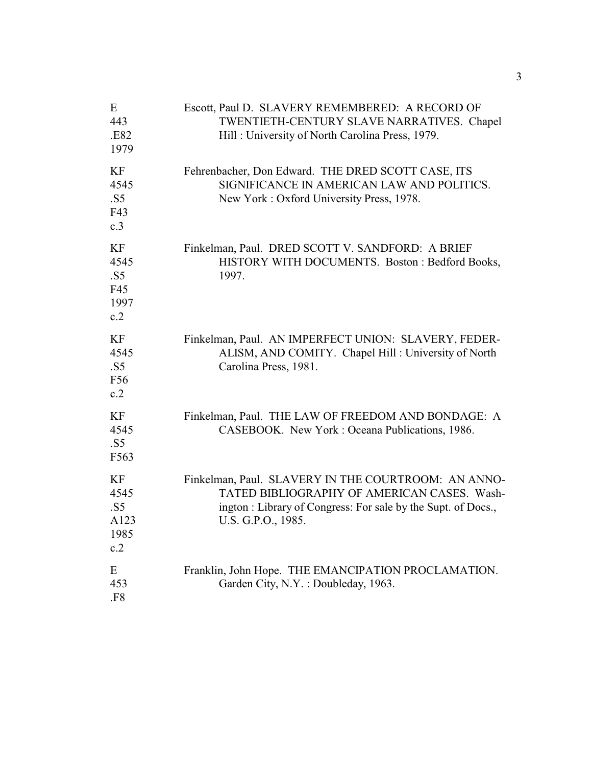| E<br>443<br>.E82<br>1979                       | Escott, Paul D. SLAVERY REMEMBERED: A RECORD OF<br>TWENTIETH-CENTURY SLAVE NARRATIVES. Chapel<br>Hill: University of North Carolina Press, 1979.                                         |
|------------------------------------------------|------------------------------------------------------------------------------------------------------------------------------------------------------------------------------------------|
| KF<br>4545<br>.S5<br>F43<br>c.3                | Fehrenbacher, Don Edward. THE DRED SCOTT CASE, ITS<br>SIGNIFICANCE IN AMERICAN LAW AND POLITICS.<br>New York: Oxford University Press, 1978.                                             |
| <b>KF</b><br>4545<br>.S5<br>F45<br>1997<br>c.2 | Finkelman, Paul. DRED SCOTT V. SANDFORD: A BRIEF<br>HISTORY WITH DOCUMENTS. Boston: Bedford Books,<br>1997.                                                                              |
| KF<br>4545<br>.S5<br>F56<br>c.2                | Finkelman, Paul. AN IMPERFECT UNION: SLAVERY, FEDER-<br>ALISM, AND COMITY. Chapel Hill: University of North<br>Carolina Press, 1981.                                                     |
| <b>KF</b><br>4545<br>.S5<br>F563               | Finkelman, Paul. THE LAW OF FREEDOM AND BONDAGE: A<br>CASEBOOK. New York: Oceana Publications, 1986.                                                                                     |
| KF<br>4545<br>.S5<br>A123<br>1985<br>c.2       | Finkelman, Paul. SLAVERY IN THE COURTROOM: AN ANNO-<br>TATED BIBLIOGRAPHY OF AMERICAN CASES. Wash-<br>ington: Library of Congress: For sale by the Supt. of Docs.,<br>U.S. G.P.O., 1985. |
| E<br>453<br>.F8                                | Franklin, John Hope. THE EMANCIPATION PROCLAMATION.<br>Garden City, N.Y.: Doubleday, 1963.                                                                                               |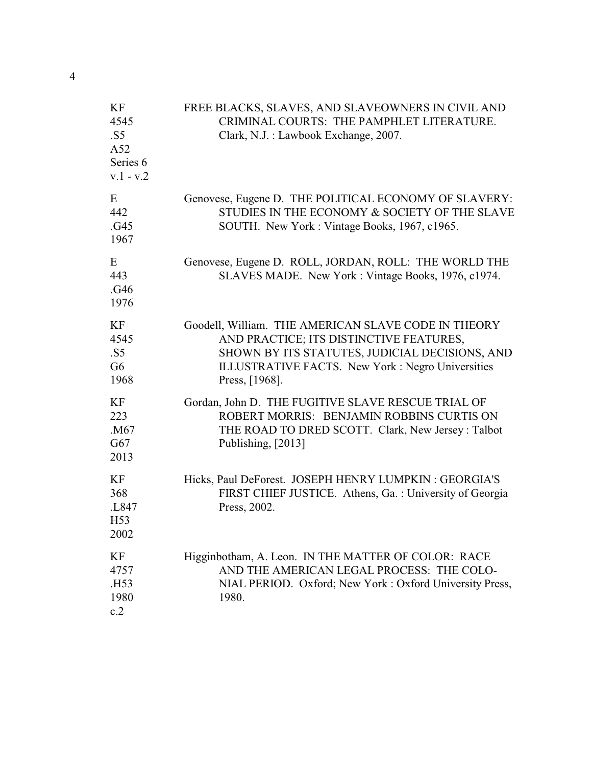| KF<br>4545<br>.S5<br>A52<br>Series <sub>6</sub><br>$v.1 - v.2$ | FREE BLACKS, SLAVES, AND SLAVEOWNERS IN CIVIL AND<br>CRIMINAL COURTS: THE PAMPHLET LITERATURE.<br>Clark, N.J. : Lawbook Exchange, 2007.                                                                                |
|----------------------------------------------------------------|------------------------------------------------------------------------------------------------------------------------------------------------------------------------------------------------------------------------|
| E<br>442<br>.G45<br>1967                                       | Genovese, Eugene D. THE POLITICAL ECONOMY OF SLAVERY:<br>STUDIES IN THE ECONOMY & SOCIETY OF THE SLAVE<br>SOUTH. New York: Vintage Books, 1967, c1965.                                                                 |
| E<br>443<br>.G46<br>1976                                       | Genovese, Eugene D. ROLL, JORDAN, ROLL: THE WORLD THE<br>SLAVES MADE. New York: Vintage Books, 1976, c1974.                                                                                                            |
| KF<br>4545<br>.S5<br>G <sub>6</sub><br>1968                    | Goodell, William. THE AMERICAN SLAVE CODE IN THEORY<br>AND PRACTICE; ITS DISTINCTIVE FEATURES,<br>SHOWN BY ITS STATUTES, JUDICIAL DECISIONS, AND<br>ILLUSTRATIVE FACTS. New York: Negro Universities<br>Press, [1968]. |
| KF<br>223<br>.M67<br>G67<br>2013                               | Gordan, John D. THE FUGITIVE SLAVE RESCUE TRIAL OF<br>ROBERT MORRIS: BENJAMIN ROBBINS CURTIS ON<br>THE ROAD TO DRED SCOTT. Clark, New Jersey: Talbot<br>Publishing, [2013]                                             |
| KF<br>368<br>.L847<br>H <sub>53</sub><br>2002                  | Hicks, Paul DeForest. JOSEPH HENRY LUMPKIN: GEORGIA'S<br>FIRST CHIEF JUSTICE. Athens, Ga.: University of Georgia<br>Press, 2002.                                                                                       |
| KF<br>4757<br>.H53<br>1980<br>c.2                              | Higginbotham, A. Leon. IN THE MATTER OF COLOR: RACE<br>AND THE AMERICAN LEGAL PROCESS: THE COLO-<br>NIAL PERIOD. Oxford; New York: Oxford University Press,<br>1980.                                                   |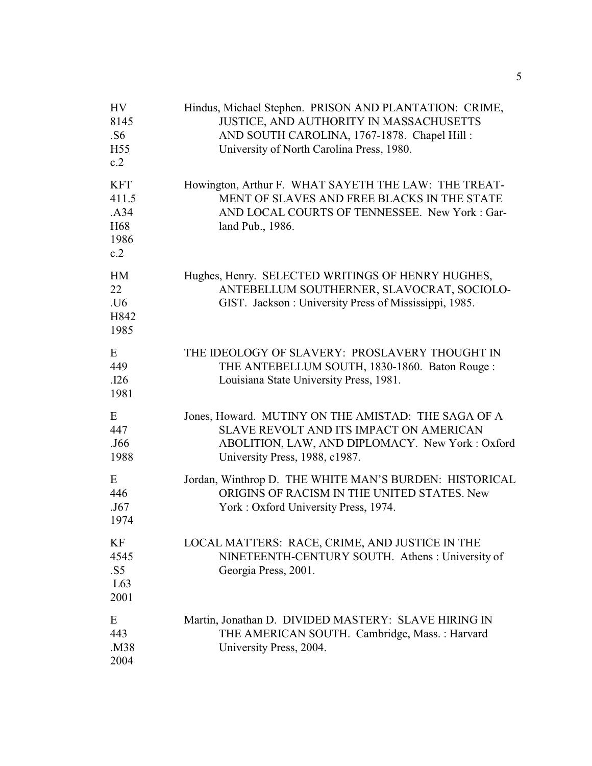| HV<br>8145<br>.S6<br>H <sub>55</sub><br>c.2                   | Hindus, Michael Stephen. PRISON AND PLANTATION: CRIME,<br>JUSTICE, AND AUTHORITY IN MASSACHUSETTS<br>AND SOUTH CAROLINA, 1767-1878. Chapel Hill:<br>University of North Carolina Press, 1980. |
|---------------------------------------------------------------|-----------------------------------------------------------------------------------------------------------------------------------------------------------------------------------------------|
| <b>KFT</b><br>411.5<br>.A34<br>H <sub>68</sub><br>1986<br>c.2 | Howington, Arthur F. WHAT SAYETH THE LAW: THE TREAT-<br>MENT OF SLAVES AND FREE BLACKS IN THE STATE<br>AND LOCAL COURTS OF TENNESSEE. New York: Gar-<br>land Pub., 1986.                      |
| <b>HM</b><br>22<br>.U6<br>H842<br>1985                        | Hughes, Henry. SELECTED WRITINGS OF HENRY HUGHES,<br>ANTEBELLUM SOUTHERNER, SLAVOCRAT, SOCIOLO-<br>GIST. Jackson: University Press of Mississippi, 1985.                                      |
| E<br>449<br>.126<br>1981                                      | THE IDEOLOGY OF SLAVERY: PROSLAVERY THOUGHT IN<br>THE ANTEBELLUM SOUTH, 1830-1860. Baton Rouge:<br>Louisiana State University Press, 1981.                                                    |
| E<br>447<br>.J66<br>1988                                      | Jones, Howard. MUTINY ON THE AMISTAD: THE SAGA OF A<br>SLAVE REVOLT AND ITS IMPACT ON AMERICAN<br>ABOLITION, LAW, AND DIPLOMACY. New York: Oxford<br>University Press, 1988, c1987.           |
| E<br>446<br>.J67<br>1974                                      | Jordan, Winthrop D. THE WHITE MAN'S BURDEN: HISTORICAL<br>ORIGINS OF RACISM IN THE UNITED STATES. New<br>York: Oxford University Press, 1974.                                                 |
| KF<br>4545<br>.S5<br>L63<br>2001                              | LOCAL MATTERS: RACE, CRIME, AND JUSTICE IN THE<br>NINETEENTH-CENTURY SOUTH. Athens: University of<br>Georgia Press, 2001.                                                                     |
| Ε<br>443<br>.M38<br>2004                                      | Martin, Jonathan D. DIVIDED MASTERY: SLAVE HIRING IN<br>THE AMERICAN SOUTH. Cambridge, Mass.: Harvard<br>University Press, 2004.                                                              |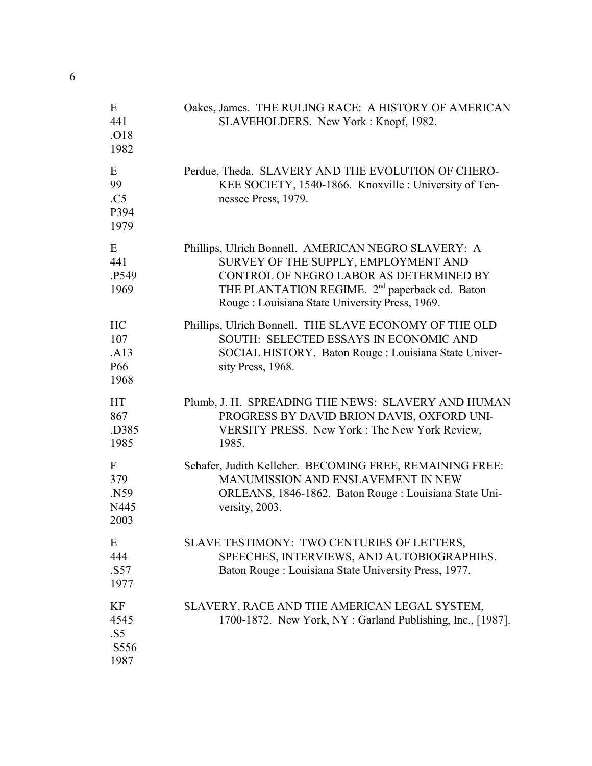| Ε<br>441<br>.O18<br>1982                     | Oakes, James. THE RULING RACE: A HISTORY OF AMERICAN<br>SLAVEHOLDERS. New York: Knopf, 1982.                                                                                                                                                           |
|----------------------------------------------|--------------------------------------------------------------------------------------------------------------------------------------------------------------------------------------------------------------------------------------------------------|
| E<br>99<br>.C5<br>P394<br>1979               | Perdue, Theda. SLAVERY AND THE EVOLUTION OF CHERO-<br>KEE SOCIETY, 1540-1866. Knoxville: University of Ten-<br>nessee Press, 1979.                                                                                                                     |
| E<br>441<br>P549.<br>1969                    | Phillips, Ulrich Bonnell. AMERICAN NEGRO SLAVERY: A<br>SURVEY OF THE SUPPLY, EMPLOYMENT AND<br>CONTROL OF NEGRO LABOR AS DETERMINED BY<br>THE PLANTATION REGIME. 2 <sup>nd</sup> paperback ed. Baton<br>Rouge: Louisiana State University Press, 1969. |
| HC<br>107<br>.A13<br>P <sub>66</sub><br>1968 | Phillips, Ulrich Bonnell. THE SLAVE ECONOMY OF THE OLD<br>SOUTH: SELECTED ESSAYS IN ECONOMIC AND<br>SOCIAL HISTORY. Baton Rouge : Louisiana State Univer-<br>sity Press, 1968.                                                                         |
| HT<br>867<br>.D385<br>1985                   | Plumb, J. H. SPREADING THE NEWS: SLAVERY AND HUMAN<br>PROGRESS BY DAVID BRION DAVIS, OXFORD UNI-<br>VERSITY PRESS. New York: The New York Review,<br>1985.                                                                                             |
| F<br>379<br>N59<br>N445<br>2003              | Schafer, Judith Kelleher. BECOMING FREE, REMAINING FREE:<br>MANUMISSION AND ENSLAVEMENT IN NEW<br>ORLEANS, 1846-1862. Baton Rouge : Louisiana State Uni-<br>versity, 2003.                                                                             |
| Ε<br>444<br>.S57<br>1977                     | SLAVE TESTIMONY: TWO CENTURIES OF LETTERS,<br>SPEECHES, INTERVIEWS, AND AUTOBIOGRAPHIES.<br>Baton Rouge: Louisiana State University Press, 1977.                                                                                                       |
| KF<br>4545<br>.S5<br>S556<br>1987            | SLAVERY, RACE AND THE AMERICAN LEGAL SYSTEM,<br>1700-1872. New York, NY: Garland Publishing, Inc., [1987].                                                                                                                                             |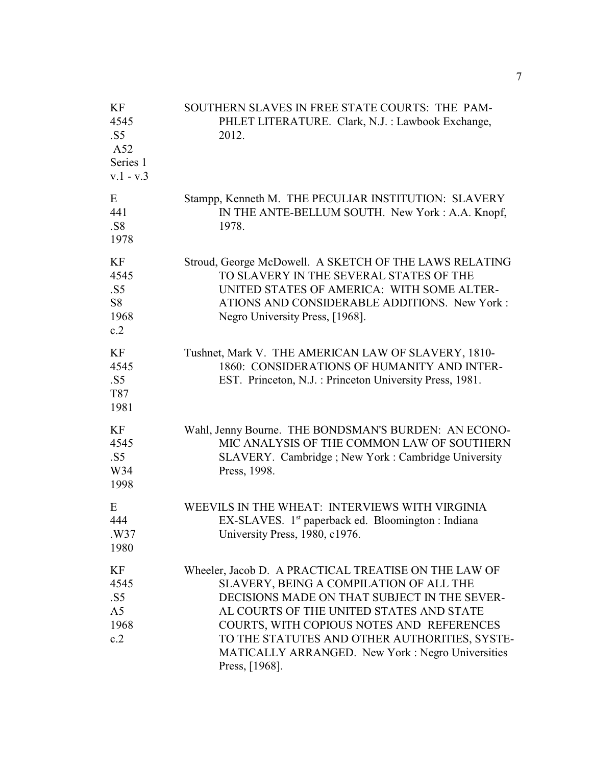| KF<br>4545<br>.S5<br>A52<br>Series 1<br>$v.1 - v.3$ | SOUTHERN SLAVES IN FREE STATE COURTS: THE PAM-<br>PHLET LITERATURE. Clark, N.J. : Lawbook Exchange,<br>2012.                                                                                                                                                                                                                                                    |
|-----------------------------------------------------|-----------------------------------------------------------------------------------------------------------------------------------------------------------------------------------------------------------------------------------------------------------------------------------------------------------------------------------------------------------------|
| E<br>441<br>.S8<br>1978                             | Stampp, Kenneth M. THE PECULIAR INSTITUTION: SLAVERY<br>IN THE ANTE-BELLUM SOUTH. New York: A.A. Knopf,<br>1978.                                                                                                                                                                                                                                                |
| KF<br>4545<br>.S5<br>S <sub>8</sub><br>1968<br>c.2  | Stroud, George McDowell. A SKETCH OF THE LAWS RELATING<br>TO SLAVERY IN THE SEVERAL STATES OF THE<br>UNITED STATES OF AMERICA: WITH SOME ALTER-<br>ATIONS AND CONSIDERABLE ADDITIONS. New York:<br>Negro University Press, [1968].                                                                                                                              |
| KF<br>4545<br>.S5<br>T87<br>1981                    | Tushnet, Mark V. THE AMERICAN LAW OF SLAVERY, 1810-<br>1860: CONSIDERATIONS OF HUMANITY AND INTER-<br>EST. Princeton, N.J.: Princeton University Press, 1981.                                                                                                                                                                                                   |
| KF<br>4545<br>.S5<br>W34<br>1998                    | Wahl, Jenny Bourne. THE BONDSMAN'S BURDEN: AN ECONO-<br>MIC ANALYSIS OF THE COMMON LAW OF SOUTHERN<br>SLAVERY. Cambridge; New York: Cambridge University<br>Press, 1998.                                                                                                                                                                                        |
| E<br>444<br>.W37<br>1980                            | WEEVILS IN THE WHEAT: INTERVIEWS WITH VIRGINIA<br>EX-SLAVES. 1 <sup>st</sup> paperback ed. Bloomington : Indiana<br>University Press, 1980, c1976.                                                                                                                                                                                                              |
| KF<br>4545<br>.S5<br>A <sub>5</sub><br>1968<br>c.2  | Wheeler, Jacob D. A PRACTICAL TREATISE ON THE LAW OF<br>SLAVERY, BEING A COMPILATION OF ALL THE<br>DECISIONS MADE ON THAT SUBJECT IN THE SEVER-<br>AL COURTS OF THE UNITED STATES AND STATE<br>COURTS, WITH COPIOUS NOTES AND REFERENCES<br>TO THE STATUTES AND OTHER AUTHORITIES, SYSTE-<br>MATICALLY ARRANGED. New York: Negro Universities<br>Press, [1968]. |